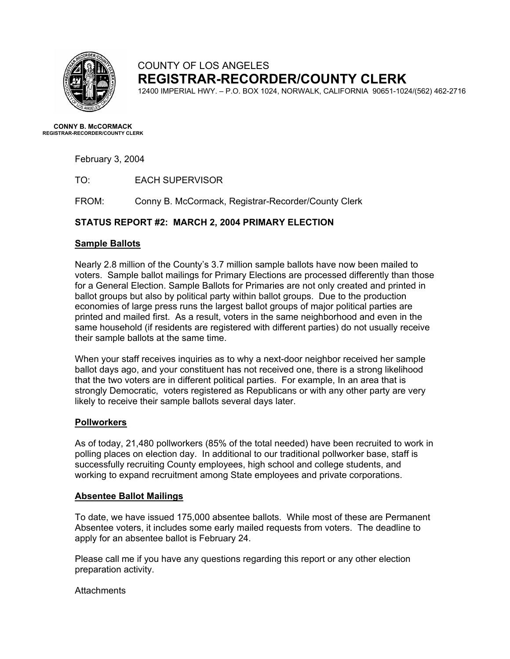

## COUNTY OF LOS ANGELES **REGISTRAR-RECORDER/COUNTY CLERK**

12400 IMPERIAL HWY. – P.O. BOX 1024, NORWALK, CALIFORNIA 90651-1024/(562) 462-2716

**CONNY B. McCORMACK REGISTRAR-RECORDER/COUNTY CLERK** 

February 3, 2004

TO: EACH SUPERVISOR

FROM: Conny B. McCormack, Registrar-Recorder/County Clerk

### **STATUS REPORT #2: MARCH 2, 2004 PRIMARY ELECTION**

#### **Sample Ballots**

Nearly 2.8 million of the County's 3.7 million sample ballots have now been mailed to voters. Sample ballot mailings for Primary Elections are processed differently than those for a General Election. Sample Ballots for Primaries are not only created and printed in ballot groups but also by political party within ballot groups. Due to the production economies of large press runs the largest ballot groups of major political parties are printed and mailed first. As a result, voters in the same neighborhood and even in the same household (if residents are registered with different parties) do not usually receive their sample ballots at the same time.

When your staff receives inquiries as to why a next-door neighbor received her sample ballot days ago, and your constituent has not received one, there is a strong likelihood that the two voters are in different political parties. For example, In an area that is strongly Democratic, voters registered as Republicans or with any other party are very likely to receive their sample ballots several days later.

#### **Pollworkers**

As of today, 21,480 pollworkers (85% of the total needed) have been recruited to work in polling places on election day. In additional to our traditional pollworker base, staff is successfully recruiting County employees, high school and college students, and working to expand recruitment among State employees and private corporations.

#### **Absentee Ballot Mailings**

To date, we have issued 175,000 absentee ballots. While most of these are Permanent Absentee voters, it includes some early mailed requests from voters. The deadline to apply for an absentee ballot is February 24.

Please call me if you have any questions regarding this report or any other election preparation activity.

#### **Attachments**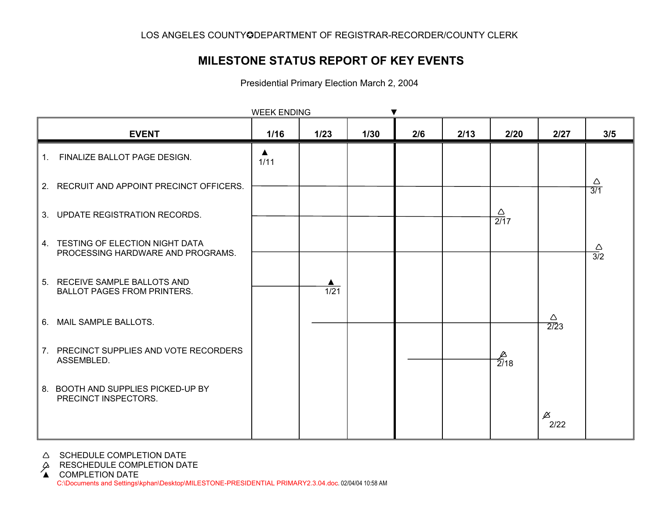# **MILESTONE STATUS REPORT OF KEY EVENTS**

Presidential Primary Election March 2, 2004

| <b>WEEK ENDING</b> |                                                                        |           |                   |      |     |      |                        |                                  |                         |
|--------------------|------------------------------------------------------------------------|-----------|-------------------|------|-----|------|------------------------|----------------------------------|-------------------------|
|                    | <b>EVENT</b>                                                           | 1/16      | 1/23              | 1/30 | 2/6 | 2/13 | 2/20                   | 2/27                             | 3/5                     |
| 1.                 | FINALIZE BALLOT PAGE DESIGN.                                           | ▲<br>1/11 |                   |      |     |      |                        |                                  |                         |
|                    | 2. RECRUIT AND APPOINT PRECINCT OFFICERS.                              |           |                   |      |     |      |                        |                                  | Δ<br>$\overline{3/1}$   |
|                    | 3. UPDATE REGISTRATION RECORDS.                                        |           |                   |      |     |      | Δ<br>$\overline{2/17}$ |                                  |                         |
|                    | 4. TESTING OF ELECTION NIGHT DATA<br>PROCESSING HARDWARE AND PROGRAMS. |           |                   |      |     |      |                        |                                  | $\frac{\triangle}{3/2}$ |
|                    | 5. RECEIVE SAMPLE BALLOTS AND<br><b>BALLOT PAGES FROM PRINTERS.</b>    |           | $\overline{1/21}$ |      |     |      |                        |                                  |                         |
|                    | 6. MAIL SAMPLE BALLOTS.                                                |           |                   |      |     |      |                        | $\triangle$<br>$\overline{2/2}3$ |                         |
|                    | 7. PRECINCT SUPPLIES AND VOTE RECORDERS<br>ASSEMBLED.                  |           |                   |      |     |      | $\frac{1}{2/18}$       |                                  |                         |
|                    | 8. BOOTH AND SUPPLIES PICKED-UP BY<br>PRECINCT INSPECTORS.             |           |                   |      |     |      |                        |                                  |                         |
|                    |                                                                        |           |                   |      |     |      |                        | $\cancel{\vartriangle}$<br>2/22  |                         |

A SCHEDULE COMPLETION DATE